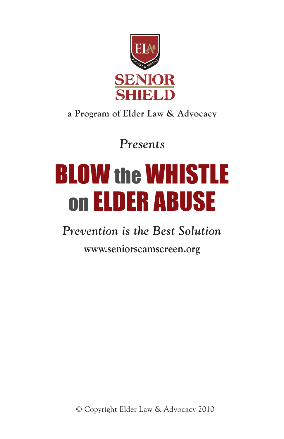

# **a Program of Elder Law & Advocacy**

*Presents*

# BLOW the WHISTLE on Elder Abuse

# *Prevention is the Best Solution*

**www.seniorscamscreen.org**

© Copyright Elder Law & Advocacy 2010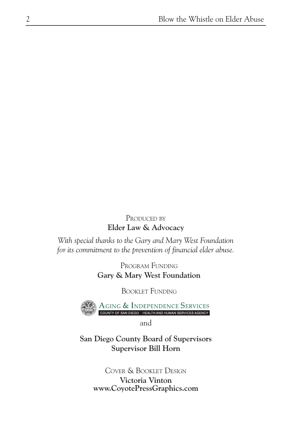#### PRODUCED BY **Elder Law & Advocacy**

*With special thanks to the Gary and Mary West Foundation for its commitment to the prevention of financial elder abuse.*

> Program Funding **Gary & Mary West Foundation**

> > Booklet Funding



and

**San Diego County Board of Supervisors Supervisor Bill Horn**

> Cover & Booklet Design **Victoria Vinton www.CoyotePressGraphics.com**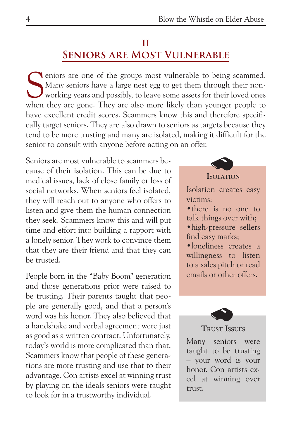## **II Seniors are Most Vulnerable**

Solven iors are one of the groups most vulnerable to being scammed.<br>
Many seniors have a large nest egg to get them through their non-<br>
working years and possibly, to leave some assets for their loved ones<br>
when they are s Many seniors have a large nest egg to get them through their nonworking years and possibly, to leave some assets for their loved ones when they are gone. They are also more likely than younger people to have excellent credit scores. Scammers know this and therefore specifically target seniors. They are also drawn to seniors as targets because they tend to be more trusting and many are isolated, making it difficult for the senior to consult with anyone before acting on an offer.

Seniors are most vulnerable to scammers because of their isolation. This can be due to medical issues, lack of close family or loss of social networks. When seniors feel isolated, they will reach out to anyone who offers to listen and give them the human connection they seek. Scammers know this and will put time and effort into building a rapport with a lonely senior. They work to convince them that they are their friend and that they can be trusted.

People born in the "Baby Boom" generation and those generations prior were raised to be trusting. Their parents taught that people are generally good, and that a person's word was his honor. They also believed that a handshake and verbal agreement were just as good as a written contract. Unfortunately, today's world is more complicated than that. Scammers know that people of these generations are more trusting and use that to their advantage. Con artists excel at winning trust by playing on the ideals seniors were taught to look for in a trustworthy individual.



•loneliness creates a willingness to listen to a sales pitch or read emails or other offers.



#### **Trust Issues**

Many seniors were taught to be trusting – your word is your honor. Con artists excel at winning over trust.